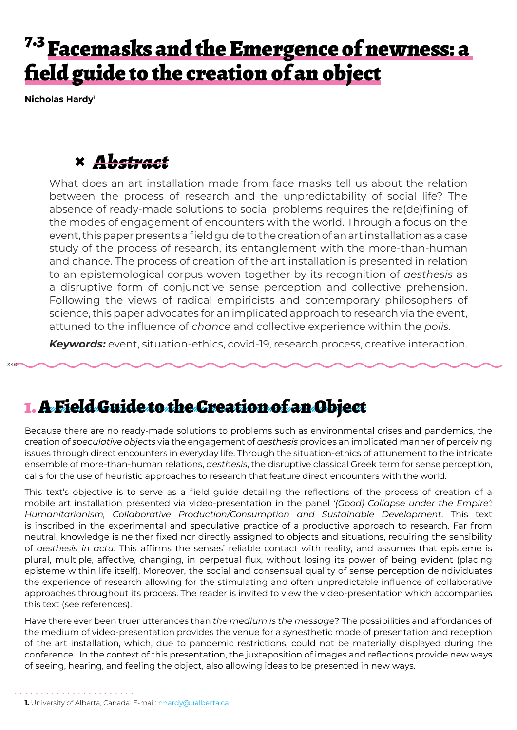# <sup>7.3</sup> Facemasks and the Emergence of newness: a field guide to the creation of an object

**Nicholas Hardy**<sup>1</sup>

340

# **×** *Abstract*

What does an art installation made from face masks tell us about the relation between the process of research and the unpredictability of social life? The absence of ready-made solutions to social problems requires the re(de)fining of the modes of engagement of encounters with the world. Through a focus on the event, this paper presents a field guide to the creation of an art installation as a case study of the process of research, its entanglement with the more-than-human and chance. The process of creation of the art installation is presented in relation to an epistemological corpus woven together by its recognition of *aesthesis* as a disruptive form of conjunctive sense perception and collective prehension. Following the views of radical empiricists and contemporary philosophers of science, this paper advocates for an implicated approach to research via the event, attuned to the influence of *chance* and collective experience within the *polis*.

*Keywords:* event, situation-ethics, covid-19, research process, creative interaction.

#### 1. A Field Guide to the Creation of an Object

Because there are no ready-made solutions to problems such as environmental crises and pandemics, the creation of *speculative objects* via the engagement of *aesthesis* provides an implicated manner of perceiving issues through direct encounters in everyday life. Through the situation-ethics of attunement to the intricate ensemble of more-than-human relations, *aesthesis*, the disruptive classical Greek term for sense perception, calls for the use of heuristic approaches to research that feature direct encounters with the world.

This text's objective is to serve as a field guide detailing the reflections of the process of creation of a mobile art installation presented via video-presentation in the panel *'(Good) Collapse under the Empire': Humanitarianism, Collaborative Production/Consumption and Sustainable Development*. This text is inscribed in the experimental and speculative practice of a productive approach to research. Far from neutral, knowledge is neither fixed nor directly assigned to objects and situations, requiring the sensibility of *aesthesis in actu*. This affirms the senses' reliable contact with reality, and assumes that episteme is plural, multiple, affective, changing, in perpetual flux, without losing its power of being evident (placing episteme within life itself). Moreover, the social and consensual quality of sense perception deindividuates the experience of research allowing for the stimulating and often unpredictable influence of collaborative approaches throughout its process. The reader is invited to view the video-presentation which accompanies this text (see references).

Have there ever been truer utterances than *the medium is the message*? The possibilities and affordances of the medium of video-presentation provides the venue for a synesthetic mode of presentation and reception of the art installation, which, due to pandemic restrictions, could not be materially displayed during the conference. In the context of this presentation, the juxtaposition of images and reflections provide new ways of seeing, hearing, and feeling the object, also allowing ideas to be presented in new ways.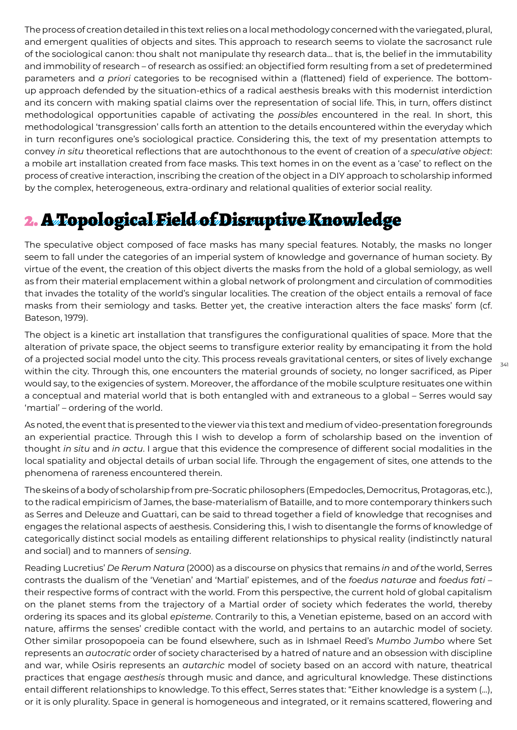The process of creation detailed in this text relies on a local methodology concerned with the variegated, plural, and emergent qualities of objects and sites. This approach to research seems to violate the sacrosanct rule of the sociological canon: thou shalt not manipulate thy research data… that is, the belief in the immutability and immobility of research – of research as ossified: an objectified form resulting from a set of predetermined parameters and *a priori* categories to be recognised within a (flattened) field of experience. The bottomup approach defended by the situation-ethics of a radical aesthesis breaks with this modernist interdiction and its concern with making spatial claims over the representation of social life. This, in turn, offers distinct methodological opportunities capable of activating the *possibles* encountered in the real. In short, this methodological 'transgression' calls forth an attention to the details encountered within the everyday which in turn reconfigures one's sociological practice. Considering this, the text of my presentation attempts to convey *in situ* theoretical reflections that are autochthonous to the event of creation of a *speculative object*: a mobile art installation created from face masks. This text homes in on the event as a 'case' to reflect on the process of creative interaction, inscribing the creation of the object in a DIY approach to scholarship informed by the complex, heterogeneous, extra-ordinary and relational qualities of exterior social reality.

# 2. A Topological Field of Disruptive Knowledge

The speculative object composed of face masks has many special features. Notably, the masks no longer seem to fall under the categories of an imperial system of knowledge and governance of human society. By virtue of the event, the creation of this object diverts the masks from the hold of a global semiology, as well as from their material emplacement within a global network of prolongment and circulation of commodities that invades the totality of the world's singular localities. The creation of the object entails a removal of face masks from their semiology and tasks. Better yet, the creative interaction alters the face masks' form (cf. Bateson, 1979).

The object is a kinetic art installation that transfigures the configurational qualities of space. More that the alteration of private space, the object seems to transfigure exterior reality by emancipating it from the hold of a projected social model unto the city. This process reveals gravitational centers, or sites of lively exchange within the city. Through this, one encounters the material grounds of society, no longer sacrificed, as Piper would say, to the exigencies of system. Moreover, the affordance of the mobile sculpture resituates one within a conceptual and material world that is both entangled with and extraneous to a global – Serres would say 'martial' – ordering of the world.

As noted, the event that is presented to the viewer via this text and medium of video-presentation foregrounds an experiential practice. Through this I wish to develop a form of scholarship based on the invention of thought *in situ* and *in actu*. I argue that this evidence the compresence of different social modalities in the local spatiality and objectal details of urban social life. Through the engagement of sites, one attends to the phenomena of rareness encountered therein.

The skeins of a body of scholarship from pre-Socratic philosophers (Empedocles, Democritus, Protagoras, etc.), to the radical empiricism of James, the base-materialism of Bataille, and to more contemporary thinkers such as Serres and Deleuze and Guattari, can be said to thread together a field of knowledge that recognises and engages the relational aspects of aesthesis. Considering this, I wish to disentangle the forms of knowledge of categorically distinct social models as entailing different relationships to physical reality (indistinctly natural and social) and to manners of *sensing*.

Reading Lucretius' *De Rerum Natura* (2000) as a discourse on physics that remains *in* and *of* the world, Serres contrasts the dualism of the 'Venetian' and 'Martial' epistemes, and of the *foedus naturae* and *foedus fati* – their respective forms of contract with the world. From this perspective, the current hold of global capitalism on the planet stems from the trajectory of a Martial order of society which federates the world, thereby ordering its spaces and its global *episteme*. Contrarily to this, a Venetian episteme, based on an accord with nature, affirms the senses' credible contact with the world, and pertains to an autarchic model of society. Other similar prosopopoeia can be found elsewhere, such as in Ishmael Reed's *Mumbo Jumbo* where Set represents an *autocratic* order of society characterised by a hatred of nature and an obsession with discipline and war, while Osiris represents an *autarchic* model of society based on an accord with nature, theatrical practices that engage *aesthesis* through music and dance, and agricultural knowledge. These distinctions entail different relationships to knowledge. To this effect, Serres states that: "Either knowledge is a system (…), or it is only plurality. Space in general is homogeneous and integrated, or it remains scattered, flowering and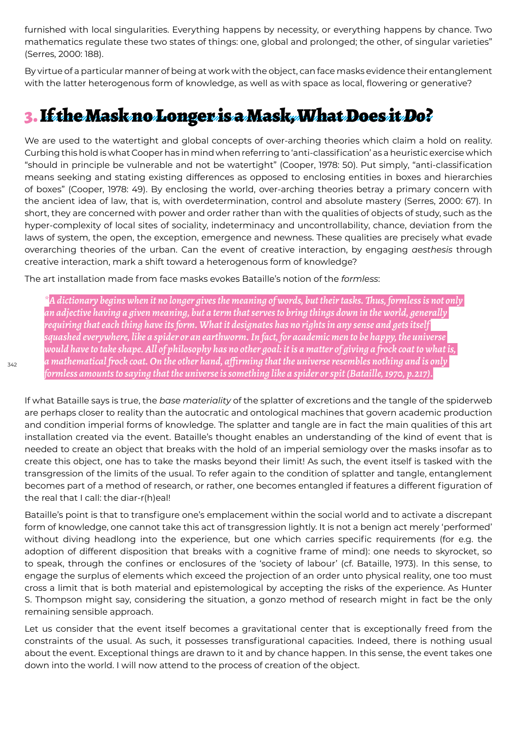furnished with local singularities. Everything happens by necessity, or everything happens by chance. Two mathematics regulate these two states of things: one, global and prolonged; the other, of singular varieties" (Serres, 2000: 188).

By virtue of a particular manner of being at work with the object, can face masks evidence their entanglement with the latter heterogenous form of knowledge, as well as with space as local, flowering or generative?

# 3. If the Mask no Longer is a Mask, What Does it *Do*?

We are used to the watertight and global concepts of over-arching theories which claim a hold on reality. Curbing this hold is what Cooper has in mind when referring to 'anti-classification' as a heuristic exercise which "should in principle be vulnerable and not be watertight" (Cooper, 1978: 50). Put simply, "anti-classification means seeking and stating existing differences as opposed to enclosing entities in boxes and hierarchies of boxes" (Cooper, 1978: 49). By enclosing the world, over-arching theories betray a primary concern with the ancient idea of law, that is, with overdetermination, control and absolute mastery (Serres, 2000: 67). In short, they are concerned with power and order rather than with the qualities of objects of study, such as the hyper-complexity of local sites of sociality, indeterminacy and uncontrollability, chance, deviation from the laws of system, the open, the exception, emergence and newness. These qualities are precisely what evade overarching theories of the urban. Can the event of creative interaction, by engaging *aesthesis* through creative interaction, mark a shift toward a heterogenous form of knowledge?

The art installation made from face masks evokes Bataille's notion of the *formless*:

*\*A dictionary begins when it no longer gives the meaning of words, but their tasks. Thus, formless is not only an adjective having a given meaning, but a term that serves to bring things down in the world, generally requiring that each thing have its form. What it designates has no rights in any sense and gets itself squashed everywhere, like a spider or an earthworm. In fact, for academic men to be happy, the universe would have to take shape. All of philosophy has no other goal: it is a matter of giving a frock coat to what is, a mathematical frock coat. On the other hand, affirming that the universe resembles nothing and is only formless amounts to saying that the universe is something like a spider or spit (Bataille, 1970, p.217).*

If what Bataille says is true, the *base materiality* of the splatter of excretions and the tangle of the spiderweb are perhaps closer to reality than the autocratic and ontological machines that govern academic production and condition imperial forms of knowledge. The splatter and tangle are in fact the main qualities of this art installation created via the event. Bataille's thought enables an understanding of the kind of event that is needed to create an object that breaks with the hold of an imperial semiology over the masks insofar as to create this object, one has to take the masks beyond their limit! As such, the event itself is tasked with the transgression of the limits of the usual. To refer again to the condition of splatter and tangle, entanglement becomes part of a method of research, or rather, one becomes entangled if features a different figuration of the real that I call: the diar-r(h)eal!

Bataille's point is that to transfigure one's emplacement within the social world and to activate a discrepant form of knowledge, one cannot take this act of transgression lightly. It is not a benign act merely 'performed' without diving headlong into the experience, but one which carries specific requirements (for e.g. the adoption of different disposition that breaks with a cognitive frame of mind): one needs to skyrocket, so to speak, through the confines or enclosures of the 'society of labour' (cf. Bataille, 1973). In this sense, to engage the surplus of elements which exceed the projection of an order unto physical reality, one too must cross a limit that is both material and epistemological by accepting the risks of the experience. As Hunter S. Thompson might say, considering the situation, a gonzo method of research might in fact be the only remaining sensible approach.

Let us consider that the event itself becomes a gravitational center that is exceptionally freed from the constraints of the usual. As such, it possesses transfigurational capacities. Indeed, there is nothing usual about the event. Exceptional things are drawn to it and by chance happen. In this sense, the event takes one down into the world. I will now attend to the process of creation of the object.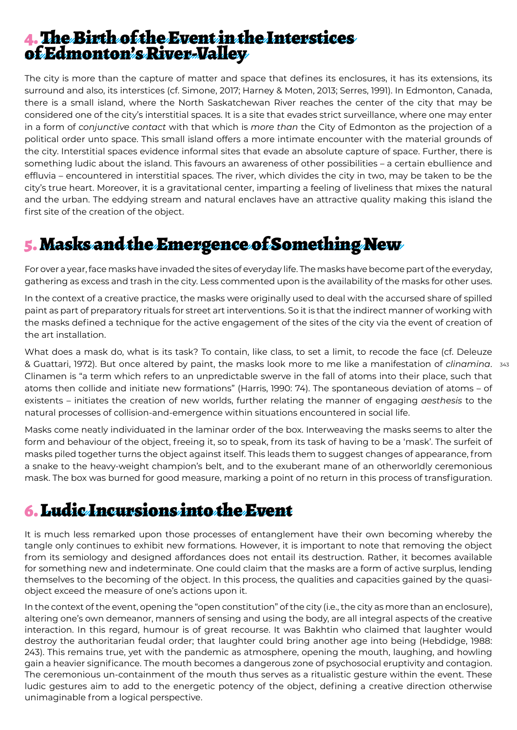#### 4. The Birth of the Event in the Interstices of Edmonton's River-Valley

The city is more than the capture of matter and space that defines its enclosures, it has its extensions, its surround and also, its interstices (cf. Simone, 2017; Harney & Moten, 2013; Serres, 1991). In Edmonton, Canada, there is a small island, where the North Saskatchewan River reaches the center of the city that may be considered one of the city's interstitial spaces. It is a site that evades strict surveillance, where one may enter in a form of *conjunctive contact* with that which is *more than* the City of Edmonton as the projection of a political order unto space. This small island offers a more intimate encounter with the material grounds of the city. Interstitial spaces evidence informal sites that evade an absolute capture of space. Further, there is something ludic about the island. This favours an awareness of other possibilities – a certain ebullience and effluvia – encountered in interstitial spaces. The river, which divides the city in two, may be taken to be the city's true heart. Moreover, it is a gravitational center, imparting a feeling of liveliness that mixes the natural and the urban. The eddying stream and natural enclaves have an attractive quality making this island the first site of the creation of the object.

### 5. Masks and the Emergence of Something New

For over a year, face masks have invaded the sites of everyday life. The masks have become part of the everyday, gathering as excess and trash in the city. Less commented upon is the availability of the masks for other uses.

In the context of a creative practice, the masks were originally used to deal with the accursed share of spilled paint as part of preparatory rituals for street art interventions. So it is that the indirect manner of working with the masks defined a technique for the active engagement of the sites of the city via the event of creation of the art installation.

& Guattari, 1972). But once altered by paint, the masks look more to me like a manifestation of *clinamina*. 343 What does a mask do, what is its task? To contain, like class, to set a limit, to recode the face (cf. Deleuze Clinamen is "a term which refers to an unpredictable swerve in the fall of atoms into their place, such that atoms then collide and initiate new formations" (Harris, 1990: 74). The spontaneous deviation of atoms – of existents – initiates the creation of new worlds, further relating the manner of engaging *aesthesis* to the natural processes of collision-and-emergence within situations encountered in social life.

Masks come neatly individuated in the laminar order of the box. Interweaving the masks seems to alter the form and behaviour of the object, freeing it, so to speak, from its task of having to be a 'mask'. The surfeit of masks piled together turns the object against itself. This leads them to suggest changes of appearance, from a snake to the heavy-weight champion's belt, and to the exuberant mane of an otherworldly ceremonious mask. The box was burned for good measure, marking a point of no return in this process of transfiguration.

#### 6. Ludic Incursions into the Event

It is much less remarked upon those processes of entanglement have their own becoming whereby the tangle only continues to exhibit new formations. However, it is important to note that removing the object from its semiology and designed affordances does not entail its destruction. Rather, it becomes available for something new and indeterminate. One could claim that the masks are a form of active surplus, lending themselves to the becoming of the object. In this process, the qualities and capacities gained by the quasiobject exceed the measure of one's actions upon it.

In the context of the event, opening the "open constitution" of the city (i.e., the city as more than an enclosure), altering one's own demeanor, manners of sensing and using the body, are all integral aspects of the creative interaction. In this regard, humour is of great recourse. It was Bakhtin who claimed that laughter would destroy the authoritarian feudal order; that laughter could bring another age into being (Hebdidge, 1988: 243). This remains true, yet with the pandemic as atmosphere, opening the mouth, laughing, and howling gain a heavier significance. The mouth becomes a dangerous zone of psychosocial eruptivity and contagion. The ceremonious un-containment of the mouth thus serves as a ritualistic gesture within the event. These ludic gestures aim to add to the energetic potency of the object, defining a creative direction otherwise unimaginable from a logical perspective.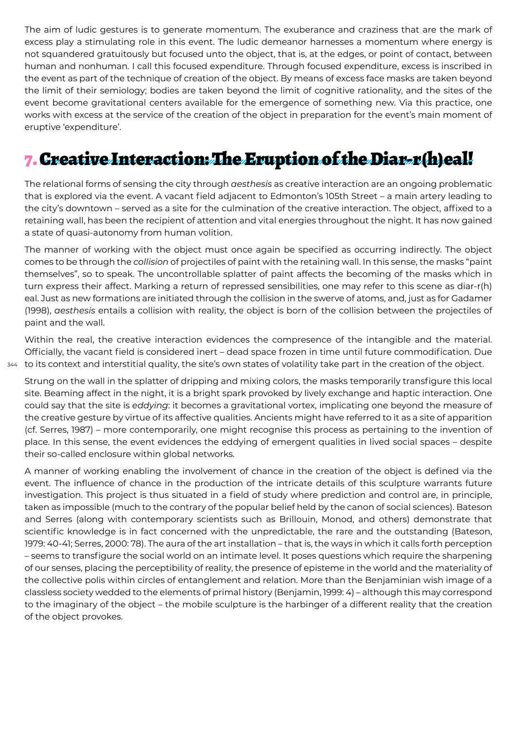The aim of ludic gestures is to generate momentum. The exuberance and craziness that are the mark of excess play a stimulating role in this event. The ludic demeanor harnesses a momentum where energy is not squandered gratuitously but focused unto the object, that is, at the edges, or point of contact, between human and nonhuman*.* I call this focused expenditure. Through focused expenditure, excess is inscribed in the event as part of the technique of creation of the object. By means of excess face masks are taken beyond the limit of their semiology; bodies are taken beyond the limit of cognitive rationality, and the sites of the event become gravitational centers available for the emergence of something new. Via this practice, one works with excess at the service of the creation of the object in preparation for the event's main moment of eruptive 'expenditure'.

# 7. Creative Interaction: The Eruption of the Diar-r(h)eal!

The relational forms of sensing the city through *aesthesis* as creative interaction are an ongoing problematic that is explored via the event. A vacant field adjacent to Edmonton's 105th Street – a main artery leading to the city's downtown – served as a site for the culmination of the creative interaction. The object, affixed to a retaining wall, has been the recipient of attention and vital energies throughout the night. It has now gained a state of quasi-autonomy from human volition.

The manner of working with the object must once again be specified as occurring indirectly. The object comes to be through the *collision* of projectiles of paint with the retaining wall. In this sense, the masks "paint themselves", so to speak. The uncontrollable splatter of paint affects the becoming of the masks which in turn express their affect. Marking a return of repressed sensibilities, one may refer to this scene as diar-r(h) eal. Just as new formations are initiated through the collision in the swerve of atoms, and, just as for Gadamer (1998), *aesthesis* entails a collision with reality, the object is born of the collision between the projectiles of paint and the wall.

344 to its context and interstitial quality, the site's own states of volatility take part in the creation of the object. Within the real, the creative interaction evidences the compresence of the intangible and the material. Officially, the vacant field is considered inert – dead space frozen in time until future commodification. Due

Strung on the wall in the splatter of dripping and mixing colors, the masks temporarily transfigure this local site. Beaming affect in the night, it is a bright spark provoked by lively exchange and haptic interaction. One could say that the site is *eddying*: it becomes a gravitational vortex, implicating one beyond the measure of the creative gesture by virtue of its affective qualities. Ancients might have referred to it as a site of apparition (cf. Serres, 1987) – more contemporarily, one might recognise this process as pertaining to the invention of place. In this sense, the event evidences the eddying of emergent qualities in lived social spaces – despite their so-called enclosure within global networks.

A manner of working enabling the involvement of chance in the creation of the object is defined via the event. The influence of chance in the production of the intricate details of this sculpture warrants future investigation. This project is thus situated in a field of study where prediction and control are, in principle, taken as impossible (much to the contrary of the popular belief held by the canon of social sciences). Bateson and Serres (along with contemporary scientists such as Brillouin, Monod, and others) demonstrate that scientific knowledge is in fact concerned with the unpredictable, the rare and the outstanding (Bateson, 1979: 40-41; Serres, 2000: 78). The aura of the art installation – that is, the ways in which it calls forth perception – seems to transfigure the social world on an intimate level. It poses questions which require the sharpening of our senses, placing the perceptibility of reality, the presence of episteme in the world and the materiality of the collective polis within circles of entanglement and relation. More than the Benjaminian wish image of a classless society wedded to the elements of primal history (Benjamin, 1999: 4) – although this may correspond to the imaginary of the object – the mobile sculpture is the harbinger of a different reality that the creation of the object provokes.